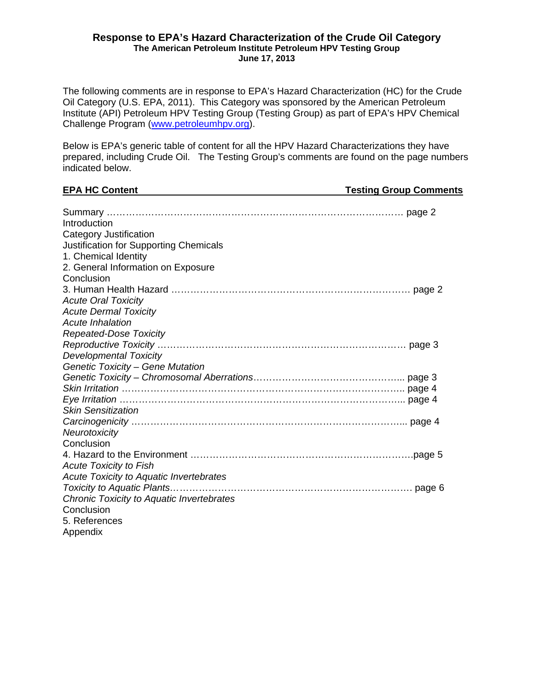#### **Response to EPA's Hazard Characterization of the Crude Oil Category The American Petroleum Institute Petroleum HPV Testing Group June 17, 2013**

The following comments are in response to EPA's Hazard Characterization (HC) for the Crude Oil Category (U.S. EPA, 2011). This Category was sponsored by the American Petroleum Institute (API) Petroleum HPV Testing Group (Testing Group) as part of EPA's HPV Chemical Challenge Program (www.petroleumhpv.org).

Below is EPA's generic table of content for all the HPV Hazard Characterizations they have prepared, including Crude Oil. The Testing Group's comments are found on the page numbers indicated below.

| <b>EPA HC Content</b>                          | <b>Testing Group Comments</b> |  |
|------------------------------------------------|-------------------------------|--|
|                                                |                               |  |
| Introduction                                   |                               |  |
| Category Justification                         |                               |  |
| <b>Justification for Supporting Chemicals</b>  |                               |  |
| 1. Chemical Identity                           |                               |  |
| 2. General Information on Exposure             |                               |  |
| Conclusion                                     |                               |  |
|                                                |                               |  |
|                                                |                               |  |
| <b>Acute Oral Toxicity</b>                     |                               |  |
| <b>Acute Dermal Toxicity</b>                   |                               |  |
| <b>Acute Inhalation</b>                        |                               |  |
| Repeated-Dose Toxicity                         |                               |  |
|                                                |                               |  |
| <b>Developmental Toxicity</b>                  |                               |  |
| <b>Genetic Toxicity - Gene Mutation</b>        |                               |  |
|                                                |                               |  |
|                                                |                               |  |
|                                                |                               |  |
| <b>Skin Sensitization</b>                      |                               |  |
|                                                |                               |  |
| Neurotoxicity                                  |                               |  |
| Conclusion                                     |                               |  |
|                                                |                               |  |
| <b>Acute Toxicity to Fish</b>                  |                               |  |
| <b>Acute Toxicity to Aquatic Invertebrates</b> |                               |  |
|                                                |                               |  |
| Chronic Toxicity to Aquatic Invertebrates      |                               |  |
| Conclusion                                     |                               |  |
| 5. References                                  |                               |  |
| Appendix                                       |                               |  |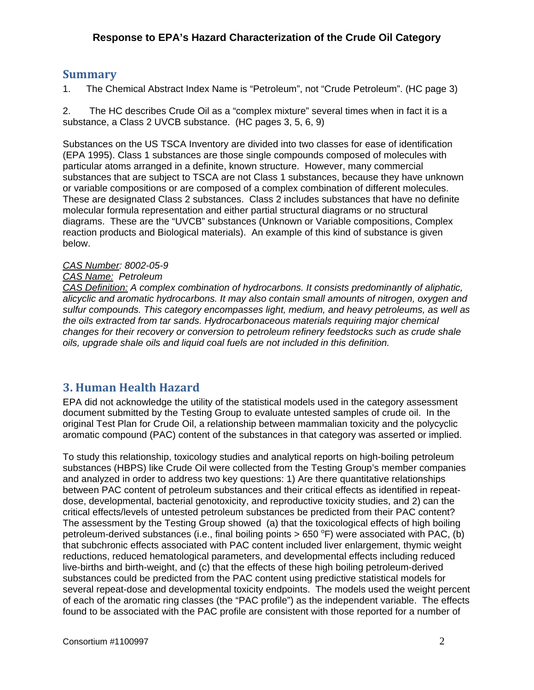## **Summary**

1. The Chemical Abstract Index Name is "Petroleum", not "Crude Petroleum". (HC page 3)

2. The HC describes Crude Oil as a "complex mixture" several times when in fact it is a substance, a Class 2 UVCB substance. (HC pages 3, 5, 6, 9)

Substances on the US TSCA Inventory are divided into two classes for ease of identification (EPA 1995). Class 1 substances are those single compounds composed of molecules with particular atoms arranged in a definite, known structure. However, many commercial substances that are subject to TSCA are not Class 1 substances, because they have unknown or variable compositions or are composed of a complex combination of different molecules. These are designated Class 2 substances. Class 2 includes substances that have no definite molecular formula representation and either partial structural diagrams or no structural diagrams. These are the "UVCB" substances (Unknown or Variable compositions, Complex reaction products and Biological materials). An example of this kind of substance is given below.

#### *CAS Number: 8002-05-9*

#### *CAS Name: Petroleum*

*CAS Definition: A complex combination of hydrocarbons. It consists predominantly of aliphatic, alicyclic and aromatic hydrocarbons. It may also contain small amounts of nitrogen, oxygen and sulfur compounds. This category encompasses light, medium, and heavy petroleums, as well as the oils extracted from tar sands. Hydrocarbonaceous materials requiring major chemical changes for their recovery or conversion to petroleum refinery feedstocks such as crude shale oils, upgrade shale oils and liquid coal fuels are not included in this definition.* 

# **3. Human Health Hazard**

EPA did not acknowledge the utility of the statistical models used in the category assessment document submitted by the Testing Group to evaluate untested samples of crude oil. In the original Test Plan for Crude Oil, a relationship between mammalian toxicity and the polycyclic aromatic compound (PAC) content of the substances in that category was asserted or implied.

To study this relationship, toxicology studies and analytical reports on high-boiling petroleum substances (HBPS) like Crude Oil were collected from the Testing Group's member companies and analyzed in order to address two key questions: 1) Are there quantitative relationships between PAC content of petroleum substances and their critical effects as identified in repeatdose, developmental, bacterial genotoxicity, and reproductive toxicity studies, and 2) can the critical effects/levels of untested petroleum substances be predicted from their PAC content? The assessment by the Testing Group showed (a) that the toxicological effects of high boiling petroleum-derived substances (i.e., final boiling points > 650 °F) were associated with PAC, (b) that subchronic effects associated with PAC content included liver enlargement, thymic weight reductions, reduced hematological parameters, and developmental effects including reduced live-births and birth-weight, and (c) that the effects of these high boiling petroleum-derived substances could be predicted from the PAC content using predictive statistical models for several repeat-dose and developmental toxicity endpoints. The models used the weight percent of each of the aromatic ring classes (the "PAC profile") as the independent variable. The effects found to be associated with the PAC profile are consistent with those reported for a number of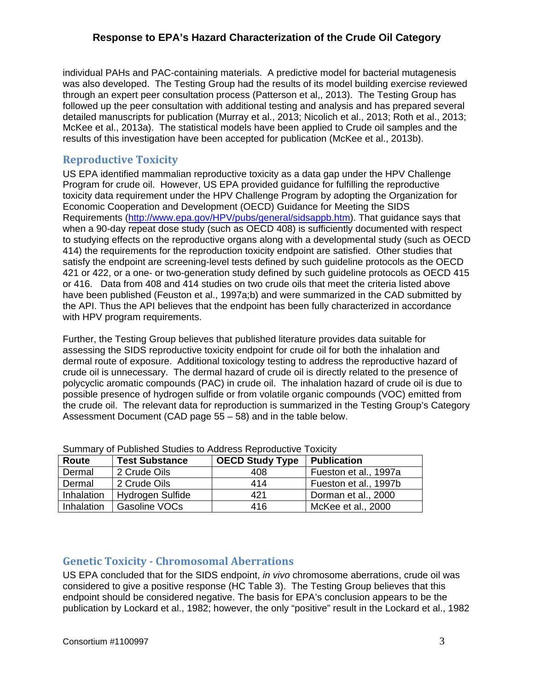individual PAHs and PAC-containing materials. A predictive model for bacterial mutagenesis was also developed. The Testing Group had the results of its model building exercise reviewed through an expert peer consultation process (Patterson et al,, 2013). The Testing Group has followed up the peer consultation with additional testing and analysis and has prepared several detailed manuscripts for publication (Murray et al., 2013; Nicolich et al., 2013; Roth et al., 2013; McKee et al., 2013a). The statistical models have been applied to Crude oil samples and the results of this investigation have been accepted for publication (McKee et al., 2013b).

### **Reproductive Toxicity**

US EPA identified mammalian reproductive toxicity as a data gap under the HPV Challenge Program for crude oil. However, US EPA provided guidance for fulfilling the reproductive toxicity data requirement under the HPV Challenge Program by adopting the Organization for Economic Cooperation and Development (OECD) Guidance for Meeting the SIDS Requirements (http://www.epa.gov/HPV/pubs/general/sidsappb.htm). That guidance says that when a 90-day repeat dose study (such as OECD 408) is sufficiently documented with respect to studying effects on the reproductive organs along with a developmental study (such as OECD 414) the requirements for the reproduction toxicity endpoint are satisfied. Other studies that satisfy the endpoint are screening-level tests defined by such guideline protocols as the OECD 421 or 422, or a one- or two-generation study defined by such guideline protocols as OECD 415 or 416. Data from 408 and 414 studies on two crude oils that meet the criteria listed above have been published (Feuston et al., 1997a;b) and were summarized in the CAD submitted by the API. Thus the API believes that the endpoint has been fully characterized in accordance with HPV program requirements.

Further, the Testing Group believes that published literature provides data suitable for assessing the SIDS reproductive toxicity endpoint for crude oil for both the inhalation and dermal route of exposure. Additional toxicology testing to address the reproductive hazard of crude oil is unnecessary. The dermal hazard of crude oil is directly related to the presence of polycyclic aromatic compounds (PAC) in crude oil. The inhalation hazard of crude oil is due to possible presence of hydrogen sulfide or from volatile organic compounds (VOC) emitted from the crude oil. The relevant data for reproduction is summarized in the Testing Group's Category Assessment Document (CAD page 55 – 58) and in the table below.

| <u>Udifficity Of Fabilistica Utadics to Addicss Reproductive Toxicity</u> |                        |                       |  |  |
|---------------------------------------------------------------------------|------------------------|-----------------------|--|--|
| <b>Test Substance</b>                                                     | <b>OECD Study Type</b> | <b>Publication</b>    |  |  |
| 2 Crude Oils                                                              | 408                    | Fueston et al., 1997a |  |  |
| 2 Crude Oils                                                              | 414                    | Fueston et al., 1997b |  |  |
| Hydrogen Sulfide                                                          | 421                    | Dorman et al., 2000   |  |  |
| Gasoline VOCs                                                             | 416                    | McKee et al., 2000    |  |  |
|                                                                           |                        |                       |  |  |

Summary of Published Studies to Address Reproductive Toxicity

# **Genetic Toxicity ‐ Chromosomal Aberrations**

US EPA concluded that for the SIDS endpoint, *in vivo* chromosome aberrations, crude oil was considered to give a positive response (HC Table 3). The Testing Group believes that this endpoint should be considered negative. The basis for EPA's conclusion appears to be the publication by Lockard et al., 1982; however, the only "positive" result in the Lockard et al., 1982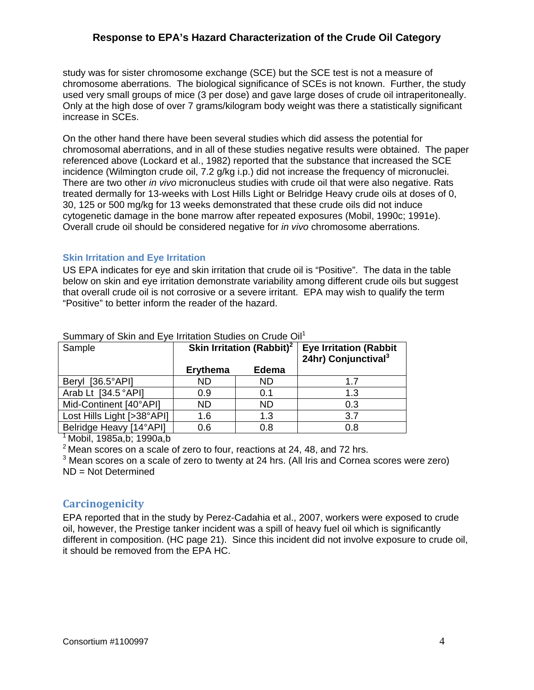study was for sister chromosome exchange (SCE) but the SCE test is not a measure of chromosome aberrations. The biological significance of SCEs is not known. Further, the study used very small groups of mice (3 per dose) and gave large doses of crude oil intraperitoneally. Only at the high dose of over 7 grams/kilogram body weight was there a statistically significant increase in SCEs.

On the other hand there have been several studies which did assess the potential for chromosomal aberrations, and in all of these studies negative results were obtained. The paper referenced above (Lockard et al., 1982) reported that the substance that increased the SCE incidence (Wilmington crude oil, 7.2 g/kg i.p.) did not increase the frequency of micronuclei. There are two other *in vivo* micronucleus studies with crude oil that were also negative. Rats treated dermally for 13-weeks with Lost Hills Light or Belridge Heavy crude oils at doses of 0, 30, 125 or 500 mg/kg for 13 weeks demonstrated that these crude oils did not induce cytogenetic damage in the bone marrow after repeated exposures (Mobil, 1990c; 1991e). Overall crude oil should be considered negative for *in vivo* chromosome aberrations.

#### **Skin Irritation and Eye Irritation**

US EPA indicates for eye and skin irritation that crude oil is "Positive". The data in the table below on skin and eye irritation demonstrate variability among different crude oils but suggest that overall crude oil is not corrosive or a severe irritant. EPA may wish to qualify the term "Positive" to better inform the reader of the hazard.

| Sample                      | <u>Udifficulty of Uniffective Lyo fiftedion Undergroup of the United Uni</u><br>Skin Irritation (Rabbit) <sup>2</sup> |              | <b>Eye Irritation (Rabbit</b><br>24hr) Conjunctival <sup>3</sup> |
|-----------------------------|-----------------------------------------------------------------------------------------------------------------------|--------------|------------------------------------------------------------------|
|                             | <b>Erythema</b>                                                                                                       | <b>Edema</b> |                                                                  |
| $[36.5^{\circ}AP]$<br>Beryl | <b>ND</b>                                                                                                             | <b>ND</b>    | 1.7                                                              |
| Arab Lt [34.5 °API]         | 0.9                                                                                                                   | 0.1          | 1.3                                                              |
| Mid-Continent [40°API]      | <b>ND</b>                                                                                                             | <b>ND</b>    | 0.3                                                              |
| Lost Hills Light [>38°API]  | 1.6                                                                                                                   | 1.3          | 3.7                                                              |
| Belridge Heavy [14°API]     | 0.6                                                                                                                   | 0.8          | 0.8                                                              |

Summary of Skin and Eye Irritation Studies on Crude Oil<sup>1</sup>

1 Mobil, 1985a,b; 1990a,b

 $2$  Mean scores on a scale of zero to four, reactions at 24, 48, and 72 hrs.

 $3$  Mean scores on a scale of zero to twenty at 24 hrs. (All Iris and Cornea scores were zero) ND = Not Determined

#### **Carcinogenicity**

EPA reported that in the study by Perez-Cadahia et al., 2007, workers were exposed to crude oil, however, the Prestige tanker incident was a spill of heavy fuel oil which is significantly different in composition. (HC page 21). Since this incident did not involve exposure to crude oil, it should be removed from the EPA HC.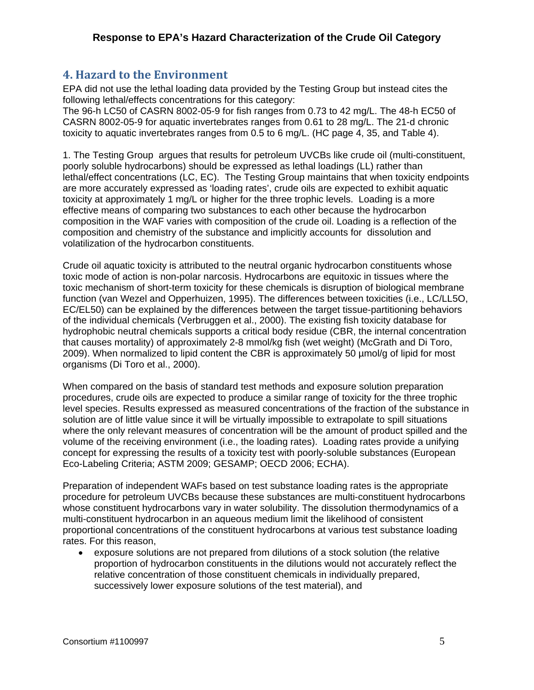# **4. Hazard to the Environment**

EPA did not use the lethal loading data provided by the Testing Group but instead cites the following lethal/effects concentrations for this category:

The 96-h LC50 of CASRN 8002-05-9 for fish ranges from 0.73 to 42 mg/L. The 48-h EC50 of CASRN 8002-05-9 for aquatic invertebrates ranges from 0.61 to 28 mg/L. The 21-d chronic toxicity to aquatic invertebrates ranges from 0.5 to 6 mg/L. (HC page 4, 35, and Table 4).

1. The Testing Group argues that results for petroleum UVCBs like crude oil (multi-constituent, poorly soluble hydrocarbons) should be expressed as lethal loadings (LL) rather than lethal/effect concentrations (LC, EC). The Testing Group maintains that when toxicity endpoints are more accurately expressed as 'loading rates', crude oils are expected to exhibit aquatic toxicity at approximately 1 mg/L or higher for the three trophic levels. Loading is a more effective means of comparing two substances to each other because the hydrocarbon composition in the WAF varies with composition of the crude oil. Loading is a reflection of the composition and chemistry of the substance and implicitly accounts for dissolution and volatilization of the hydrocarbon constituents.

Crude oil aquatic toxicity is attributed to the neutral organic hydrocarbon constituents whose toxic mode of action is non-polar narcosis. Hydrocarbons are equitoxic in tissues where the toxic mechanism of short-term toxicity for these chemicals is disruption of biological membrane function (van Wezel and Opperhuizen, 1995). The differences between toxicities (i.e., LC/LL5O, EC/EL50) can be explained by the differences between the target tissue-partitioning behaviors of the individual chemicals (Verbruggen et al., 2000). The existing fish toxicity database for hydrophobic neutral chemicals supports a critical body residue (CBR, the internal concentration that causes mortality) of approximately 2-8 mmol/kg fish (wet weight) (McGrath and Di Toro, 2009). When normalized to lipid content the CBR is approximately 50 µmol/g of lipid for most organisms (Di Toro et al., 2000).

When compared on the basis of standard test methods and exposure solution preparation procedures, crude oils are expected to produce a similar range of toxicity for the three trophic level species. Results expressed as measured concentrations of the fraction of the substance in solution are of little value since it will be virtually impossible to extrapolate to spill situations where the only relevant measures of concentration will be the amount of product spilled and the volume of the receiving environment (i.e., the loading rates). Loading rates provide a unifying concept for expressing the results of a toxicity test with poorly-soluble substances (European Eco-Labeling Criteria; ASTM 2009; GESAMP; OECD 2006; ECHA).

Preparation of independent WAFs based on test substance loading rates is the appropriate procedure for petroleum UVCBs because these substances are multi-constituent hydrocarbons whose constituent hydrocarbons vary in water solubility. The dissolution thermodynamics of a multi-constituent hydrocarbon in an aqueous medium limit the likelihood of consistent proportional concentrations of the constituent hydrocarbons at various test substance loading rates. For this reason,

 exposure solutions are not prepared from dilutions of a stock solution (the relative proportion of hydrocarbon constituents in the dilutions would not accurately reflect the relative concentration of those constituent chemicals in individually prepared, successively lower exposure solutions of the test material), and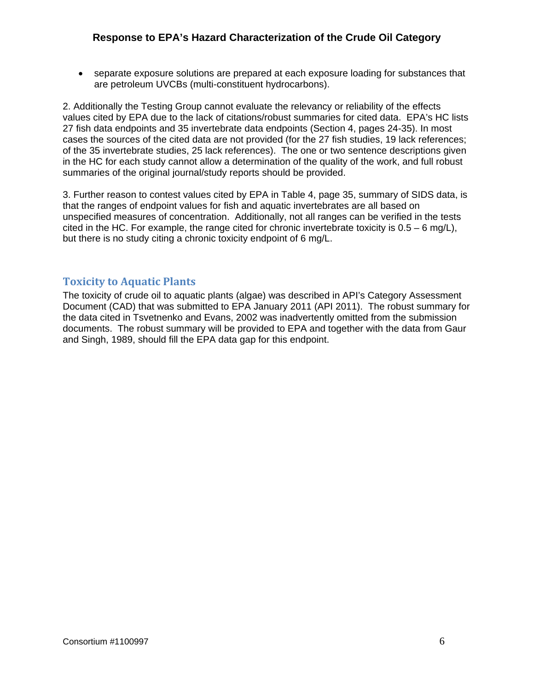separate exposure solutions are prepared at each exposure loading for substances that are petroleum UVCBs (multi-constituent hydrocarbons).

2. Additionally the Testing Group cannot evaluate the relevancy or reliability of the effects values cited by EPA due to the lack of citations/robust summaries for cited data. EPA's HC lists 27 fish data endpoints and 35 invertebrate data endpoints (Section 4, pages 24-35). In most cases the sources of the cited data are not provided (for the 27 fish studies, 19 lack references; of the 35 invertebrate studies, 25 lack references). The one or two sentence descriptions given in the HC for each study cannot allow a determination of the quality of the work, and full robust summaries of the original journal/study reports should be provided.

3. Further reason to contest values cited by EPA in Table 4, page 35, summary of SIDS data, is that the ranges of endpoint values for fish and aquatic invertebrates are all based on unspecified measures of concentration. Additionally, not all ranges can be verified in the tests cited in the HC. For example, the range cited for chronic invertebrate toxicity is  $0.5 - 6$  mg/L), but there is no study citing a chronic toxicity endpoint of 6 mg/L.

#### **Toxicity to Aquatic Plants**

The toxicity of crude oil to aquatic plants (algae) was described in API's Category Assessment Document (CAD) that was submitted to EPA January 2011 (API 2011). The robust summary for the data cited in Tsvetnenko and Evans, 2002 was inadvertently omitted from the submission documents. The robust summary will be provided to EPA and together with the data from Gaur and Singh, 1989, should fill the EPA data gap for this endpoint.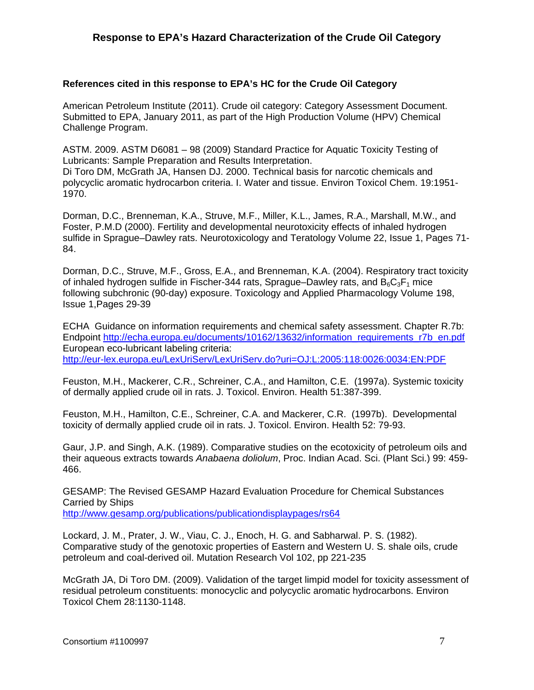#### **References cited in this response to EPA's HC for the Crude Oil Category**

American Petroleum Institute (2011). Crude oil category: Category Assessment Document. Submitted to EPA, January 2011, as part of the High Production Volume (HPV) Chemical Challenge Program.

ASTM. 2009. ASTM D6081 – 98 (2009) Standard Practice for Aquatic Toxicity Testing of Lubricants: Sample Preparation and Results Interpretation.

Di Toro DM, McGrath JA, Hansen DJ. 2000. Technical basis for narcotic chemicals and polycyclic aromatic hydrocarbon criteria. I. Water and tissue. Environ Toxicol Chem. 19:1951- 1970.

Dorman, D.C., Brenneman, K.A., Struve, M.F., Miller, K.L., James, R.A., Marshall, M.W., and Foster, P.M.D (2000). Fertility and developmental neurotoxicity effects of inhaled hydrogen sulfide in Sprague–Dawley rats. Neurotoxicology and Teratology Volume 22, Issue 1, Pages 71- 84.

Dorman, D.C., Struve, M.F., Gross, E.A., and Brenneman, K.A. (2004). Respiratory tract toxicity of inhaled hydrogen sulfide in Fischer-344 rats, Sprague–Dawley rats, and  $B_6C_3F_1$  mice following subchronic (90-day) exposure. Toxicology and Applied Pharmacology Volume 198, Issue 1,Pages 29-39

ECHA Guidance on information requirements and chemical safety assessment. Chapter R.7b: Endpoint http://echa.europa.eu/documents/10162/13632/information\_requirements\_r7b\_en.pdf European eco-lubricant labeling criteria: http://eur-lex.europa.eu/LexUriServ/LexUriServ.do?uri=OJ:L:2005:118:0026:0034:EN:PDF

Feuston, M.H., Mackerer, C.R., Schreiner, C.A., and Hamilton, C.E. (1997a). Systemic toxicity of dermally applied crude oil in rats. J. Toxicol. Environ. Health 51:387-399.

Feuston, M.H., Hamilton, C.E., Schreiner, C.A. and Mackerer, C.R. (1997b). Developmental toxicity of dermally applied crude oil in rats. J. Toxicol. Environ. Health 52: 79-93.

Gaur, J.P. and Singh, A.K. (1989). Comparative studies on the ecotoxicity of petroleum oils and their aqueous extracts towards *Anabaena doliolum*, Proc. Indian Acad. Sci. (Plant Sci.) 99: 459- 466.

GESAMP: The Revised GESAMP Hazard Evaluation Procedure for Chemical Substances Carried by Ships http://www.gesamp.org/publications/publicationdisplaypages/rs64

Lockard, J. M., Prater, J. W., Viau, C. J., Enoch, H. G. and Sabharwal. P. S. (1982). Comparative study of the genotoxic properties of Eastern and Western U. S. shale oils, crude petroleum and coal-derived oil. Mutation Research Vol 102, pp 221-235

McGrath JA, Di Toro DM. (2009). Validation of the target limpid model for toxicity assessment of residual petroleum constituents: monocyclic and polycyclic aromatic hydrocarbons. Environ Toxicol Chem 28:1130-1148.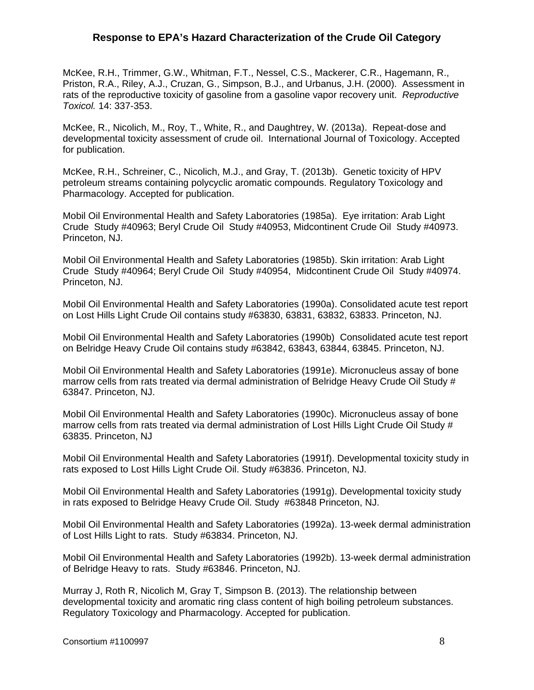McKee, R.H., Trimmer, G.W., Whitman, F.T., Nessel, C.S., Mackerer, C.R., Hagemann, R., Priston, R.A., Riley, A.J., Cruzan, G., Simpson, B.J., and Urbanus, J.H. (2000). Assessment in rats of the reproductive toxicity of gasoline from a gasoline vapor recovery unit. *Reproductive Toxicol.* 14: 337-353.

McKee, R., Nicolich, M., Roy, T., White, R., and Daughtrey, W. (2013a). Repeat-dose and developmental toxicity assessment of crude oil. International Journal of Toxicology. Accepted for publication.

McKee, R.H., Schreiner, C., Nicolich, M.J., and Gray, T. (2013b). Genetic toxicity of HPV petroleum streams containing polycyclic aromatic compounds. Regulatory Toxicology and Pharmacology. Accepted for publication.

Mobil Oil Environmental Health and Safety Laboratories (1985a). Eye irritation: Arab Light Crude Study #40963; Beryl Crude Oil Study #40953, Midcontinent Crude Oil Study #40973. Princeton, NJ.

Mobil Oil Environmental Health and Safety Laboratories (1985b). Skin irritation: Arab Light Crude Study #40964; Beryl Crude Oil Study #40954, Midcontinent Crude Oil Study #40974. Princeton, NJ.

Mobil Oil Environmental Health and Safety Laboratories (1990a). Consolidated acute test report on Lost Hills Light Crude Oil contains study #63830, 63831, 63832, 63833. Princeton, NJ.

Mobil Oil Environmental Health and Safety Laboratories (1990b) Consolidated acute test report on Belridge Heavy Crude Oil contains study #63842, 63843, 63844, 63845. Princeton, NJ.

Mobil Oil Environmental Health and Safety Laboratories (1991e). Micronucleus assay of bone marrow cells from rats treated via dermal administration of Belridge Heavy Crude Oil Study # 63847. Princeton, NJ.

Mobil Oil Environmental Health and Safety Laboratories (1990c). Micronucleus assay of bone marrow cells from rats treated via dermal administration of Lost Hills Light Crude Oil Study # 63835. Princeton, NJ

Mobil Oil Environmental Health and Safety Laboratories (1991f). Developmental toxicity study in rats exposed to Lost Hills Light Crude Oil. Study #63836. Princeton, NJ.

Mobil Oil Environmental Health and Safety Laboratories (1991g). Developmental toxicity study in rats exposed to Belridge Heavy Crude Oil. Study #63848 Princeton, NJ.

Mobil Oil Environmental Health and Safety Laboratories (1992a). 13-week dermal administration of Lost Hills Light to rats. Study #63834. Princeton, NJ.

Mobil Oil Environmental Health and Safety Laboratories (1992b). 13-week dermal administration of Belridge Heavy to rats. Study #63846. Princeton, NJ.

Murray J, Roth R, Nicolich M, Gray T, Simpson B. (2013). The relationship between developmental toxicity and aromatic ring class content of high boiling petroleum substances. Regulatory Toxicology and Pharmacology. Accepted for publication.